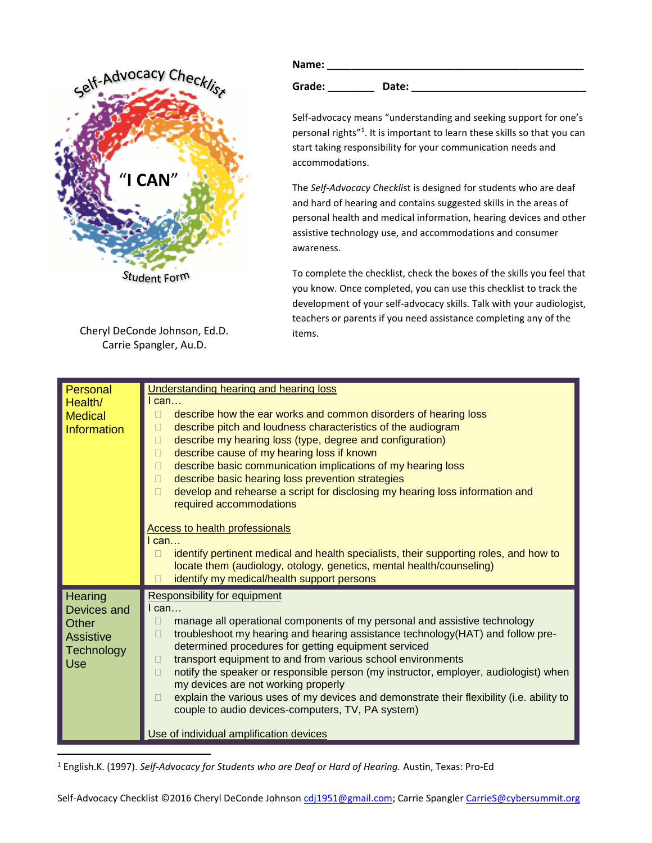

Cheryl DeConde Johnson, Ed.D. Carrie Spangler, Au.D.

| Name:  |       |
|--------|-------|
| Grade: | Date: |

Self-advocacy means "understanding and seeking support for one's personal rights"<sup>1</sup>. It is important to learn these skills so that you can start taking responsibility for your communication needs and accommodations.

The *Self-Advocacy Checkli*st is designed for students who are deaf and hard of hearing and contains suggested skills in the areas of personal health and medical information, hearing devices and other assistive technology use, and accommodations and consumer awareness.

To complete the checklist, check the boxes of the skills you feel that you know. Once completed, you can use this checklist to track the development of your self-advocacy skills. Talk with your audiologist, teachers or parents if you need assistance completing any of the items.

| Personal<br>Health/<br><b>Medical</b><br><b>Information</b>                            | Understanding hearing and hearing loss<br>$l$ can<br>describe how the ear works and common disorders of hearing loss<br>$\Box$<br>describe pitch and loudness characteristics of the audiogram<br>$\Box$<br>describe my hearing loss (type, degree and configuration)<br>$\Box$<br>describe cause of my hearing loss if known<br>$\Box$<br>describe basic communication implications of my hearing loss<br>П<br>describe basic hearing loss prevention strategies<br>$\Box$                                                                                                                                                                                                             |
|----------------------------------------------------------------------------------------|-----------------------------------------------------------------------------------------------------------------------------------------------------------------------------------------------------------------------------------------------------------------------------------------------------------------------------------------------------------------------------------------------------------------------------------------------------------------------------------------------------------------------------------------------------------------------------------------------------------------------------------------------------------------------------------------|
|                                                                                        | develop and rehearse a script for disclosing my hearing loss information and<br>$\Box$<br>required accommodations<br><b>Access to health professionals</b><br>I can<br>identify pertinent medical and health specialists, their supporting roles, and how to<br>П<br>locate them (audiology, otology, genetics, mental health/counseling)<br>identify my medical/health support persons                                                                                                                                                                                                                                                                                                 |
| Hearing<br>Devices and<br>Other<br><b>Assistive</b><br><b>Technology</b><br><b>Use</b> | Responsibility for equipment<br>$l$ can<br>manage all operational components of my personal and assistive technology<br>□<br>troubleshoot my hearing and hearing assistance technology(HAT) and follow pre-<br>П<br>determined procedures for getting equipment serviced<br>transport equipment to and from various school environments<br>П<br>notify the speaker or responsible person (my instructor, employer, audiologist) when<br>П<br>my devices are not working properly<br>explain the various uses of my devices and demonstrate their flexibility (i.e. ability to<br>$\Box$<br>couple to audio devices-computers, TV, PA system)<br>Use of individual amplification devices |

<sup>1</sup> English.K. (1997). *Self-Advocacy for Students who are Deaf or Hard of Hearing.* Austin, Texas: Pro-Ed